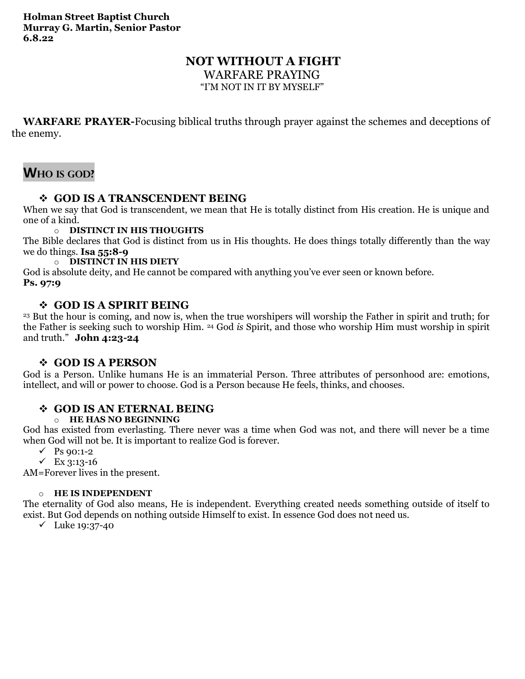## **NOT WITHOUT A FIGHT**

WARFARE PRAYING

"I'M NOT IN IT BY MYSELF"

**WARFARE PRAYER-**Focusing biblical truths through prayer against the schemes and deceptions of the enemy.

# **WHO IS GOD?**

## ❖ **GOD IS A TRANSCENDENT BEING**

When we say that God is transcendent, we mean that He is totally distinct from His creation. He is unique and one of a kind.

#### o **DISTINCT IN HIS THOUGHTS**

The Bible declares that God is distinct from us in His thoughts. He does things totally differently than the way we do things. **Isa 55:8-9**

#### o **DISTINCT IN HIS DIETY**

God is absolute deity, and He cannot be compared with anything you've ever seen or known before. **Ps. 97:9**

### ❖ **GOD IS A SPIRIT BEING**

<sup>23</sup> But the hour is coming, and now is, when the true worshipers will worship the Father in spirit and truth; for the Father is seeking such to worship Him. <sup>24</sup> God *is* Spirit, and those who worship Him must worship in spirit and truth." **John 4:23-24**

### ❖ **GOD IS A PERSON**

God is a Person. Unlike humans He is an immaterial Person. Three attributes of personhood are: emotions, intellect, and will or power to choose. God is a Person because He feels, thinks, and chooses.

## ❖ **GOD IS AN ETERNAL BEING**

#### o **HE HAS NO BEGINNING**

God has existed from everlasting. There never was a time when God was not, and there will never be a time when God will not be. It is important to realize God is forever.

- $\checkmark$  Ps 90:1-2
- ✓ Ex 3:13-16

AM=Forever lives in the present.

#### o **HE IS INDEPENDENT**

The eternality of God also means, He is independent. Everything created needs something outside of itself to exist. But God depends on nothing outside Himself to exist. In essence God does not need us.

✓ Luke 19:37-40